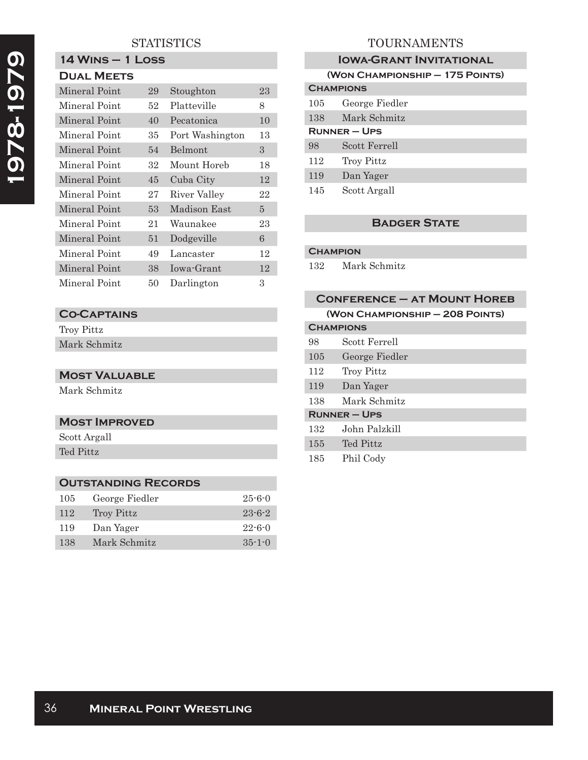# **STATISTICS**

**14 Wins – 1 Loss**

# **1978-1979**  1978-1979

| <b>DUAL MEETS</b> |    |                 |    |
|-------------------|----|-----------------|----|
| Mineral Point     | 29 | Stoughton       | 23 |
| Mineral Point     | 52 | Platteville     | 8  |
| Mineral Point     | 40 | Pecatonica      | 10 |
| Mineral Point     | 35 | Port Washington | 13 |
| Mineral Point     | 54 | Belmont         | 3  |
| Mineral Point     | 32 | Mount Horeb     | 18 |
| Mineral Point     | 45 | Cuba City       | 12 |
| Mineral Point     | 27 | River Valley    | 22 |
| Mineral Point     | 53 | Madison East    | 5  |
| Mineral Point     | 21 | Waunakee        | 23 |
| Mineral Point     | 51 | Dodgeville      | 6  |
| Mineral Point     | 49 | Lancaster       | 12 |
| Mineral Point     | 38 | Iowa-Grant      | 12 |
| Mineral Point     | 50 | Darlington      | 3  |

# **Co-Captains**

Troy Pittz Mark Schmitz

#### **Most Valuable**

Mark Schmitz

#### **Most Improved**

Scott Argall Ted Pittz

## **Outstanding Records**

| 105 | George Fiedler | $25 - 6 - 0$ |
|-----|----------------|--------------|
| 112 | Troy Pittz     | $23 - 6 - 2$ |
| 119 | Dan Yager      | $22 - 6 - 0$ |
| 138 | Mark Schmitz   | $35 - 1 - 0$ |

# TOURNAMENTS

| <b>IOWA-GRANT INVITATIONAL</b>  |                   |  |
|---------------------------------|-------------------|--|
| (WON CHAMPIONSHIP - 175 POINTS) |                   |  |
| <b>CHAMPIONS</b>                |                   |  |
| $105\,$                         | George Fiedler    |  |
| 138                             | Mark Schmitz      |  |
| <b>RUNNER – UPS</b>             |                   |  |
| 98                              | Scott Ferrell     |  |
| 112                             | <b>Troy Pittz</b> |  |
| 119                             | Dan Yager         |  |
| 145                             | Scott Argall      |  |

# **Badger State**

#### **Champion**

132 Mark Schmitz

| (WON CHAMPIONSHIP - 208 POINTS) |                     |
|---------------------------------|---------------------|
| <b>CHAMPIONS</b>                |                     |
| 98                              | Scott Ferrell       |
| 105                             | George Fiedler      |
| 112                             | <b>Troy Pittz</b>   |
| 119                             | Dan Yager           |
| 138                             | Mark Schmitz        |
|                                 | <b>RUNNER – UPS</b> |
| 132                             | John Palzkill       |
| 155                             | Ted Pittz           |
|                                 |                     |

185 Phil Cody